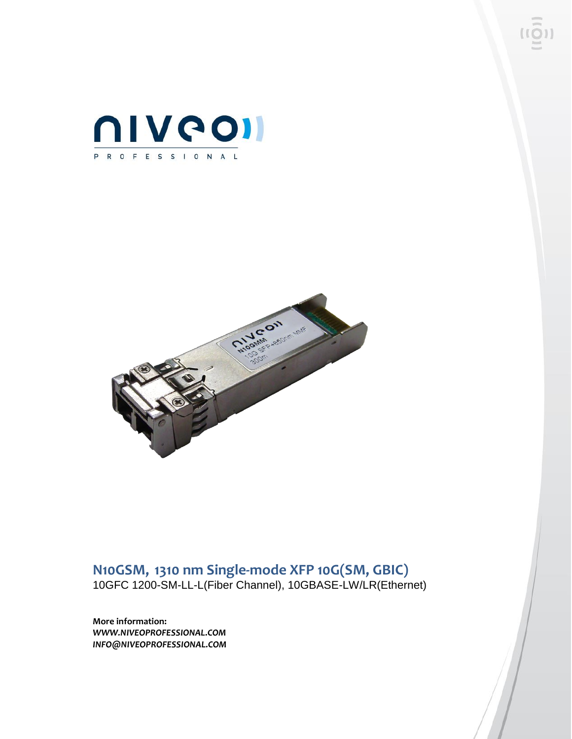



# **N10GSM, 1310 nm Single-mode XFP 10G(SM, GBIC)**

10GFC 1200-SM-LL-L(Fiber Channel), 10GBASE-LW/LR(Ethernet)

**More information:** *WWW.NIVEOPROFESSIONAL.COM INFO@NIVEOPROFESSIONAL.COM*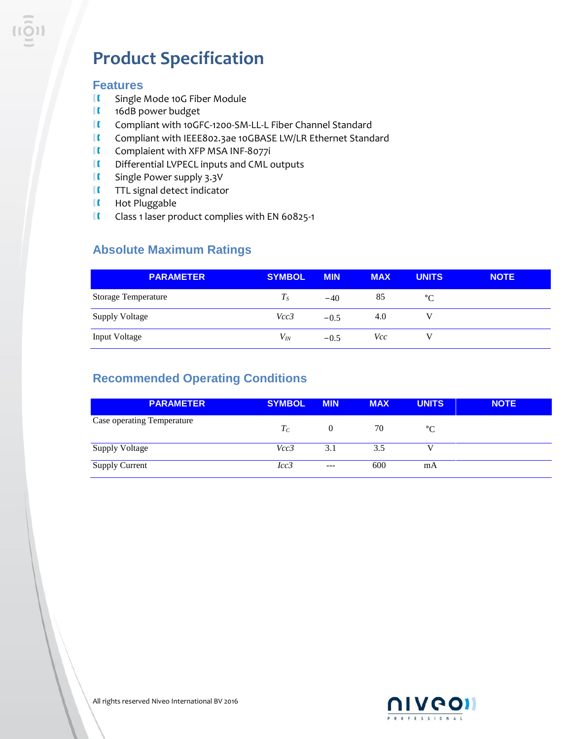# **Product Specification**

#### **Features**

- $\mathbf{I}$ Single Mode 10G Fiber Module
- **I** 16dB power budget
- $\blacksquare$ Compliant with 10GFC-1200-SM-LL-L Fiber Channel Standard
- $\blacksquare$ Compliant with IEEE802.3ae 10GBASE LW/LR Ethernet Standard
- $\mathbf{u}$ Complaient with XFP MSA INF-8077i
- **II** Differential LVPECL inputs and CML outputs
- $\blacksquare$ Single Power supply 3.3V
- **II** TTL signal detect indicator
- **II** Hot Pluggable
- $\mathbf{I}$ Class 1 laser product complies with EN 60825-1

### **Absolute Maximum Ratings**

| <b>PARAMETER</b>      | <b>SYMBOL</b> | <b>MIN</b> | <b>MAX</b> | <b>UNITS</b> | <b>NOTE</b> |
|-----------------------|---------------|------------|------------|--------------|-------------|
| Storage Temperature   | $T_{S}$       | $-40$      | 85         | $^{\circ}C$  |             |
| <b>Supply Voltage</b> | Vcc3          | $-0.5$     | 4.0        |              |             |
| <b>Input Voltage</b>  | $V_{lN}$      | $-0.5$     | Vcc        |              |             |

### **Recommended Operating Conditions**

|                            | <b>PARAMETER</b> | <b>SYMBOL</b> | <b>MIN</b> | <b>MAX</b> | <b>UNITS</b> | <b>NOTE</b> |
|----------------------------|------------------|---------------|------------|------------|--------------|-------------|
| Case operating Temperature |                  | $T_C$         | $\theta$   | 70         | °C           |             |
| <b>Supply Voltage</b>      |                  | Vcc3          | 3.1        | 3.5        |              |             |
| <b>Supply Current</b>      |                  | Icc3          | $---$      | 600        | mA           |             |

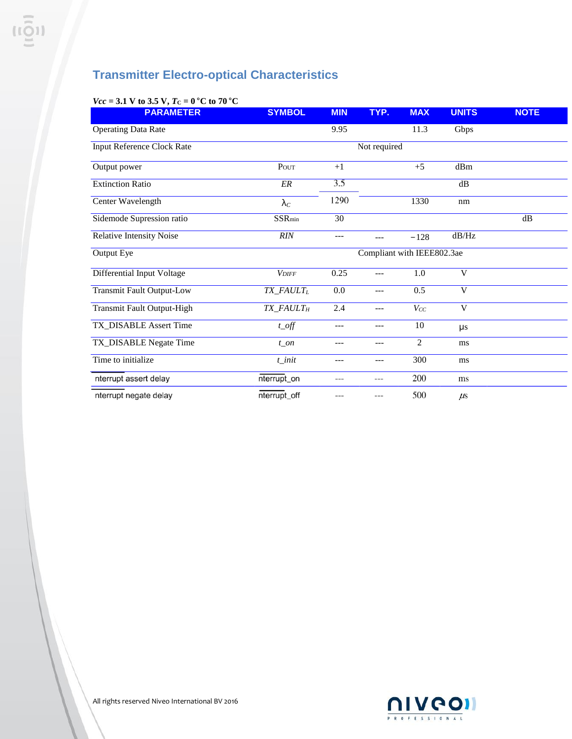### **Transmitter Electro-optical Characteristics**

| <b>PARAMETER</b>                 | <b>SYMBOL</b>         | <b>MIN</b>                 | TYP.         | <b>MAX</b>     | <b>UNITS</b>            | <b>NOTE</b> |  |
|----------------------------------|-----------------------|----------------------------|--------------|----------------|-------------------------|-------------|--|
| <b>Operating Data Rate</b>       |                       | 9.95                       |              | 11.3           | Gbps                    |             |  |
| Input Reference Clock Rate       |                       |                            | Not required |                |                         |             |  |
| Output power                     | POUT                  | $+1$                       |              | $+5$           | dBm                     |             |  |
| <b>Extinction Ratio</b>          | ${\it ER}$            | 3.5                        |              |                | $\mathrm{dB}$           |             |  |
| Center Wavelength                | $\lambda_C$           | 1290                       |              | 1330           | nm                      |             |  |
| Sidemode Supression ratio        | $SSR_{min}$           | 30                         |              |                |                         | dB          |  |
| Relative Intensity Noise         | RIN                   | ---                        | $---$        | $-128$         | dB/Hz                   |             |  |
| Output Eye                       |                       | Compliant with IEEE802.3ae |              |                |                         |             |  |
| Differential Input Voltage       | <b>VDIFF</b>          | 0.25                       | $---$        | 1.0            | V                       |             |  |
| <b>Transmit Fault Output-Low</b> | TX_FAULTL             | 0.0                        | $---$        | 0.5            | $\mathbf{V}$            |             |  |
| Transmit Fault Output-High       | TX_FAULT <sub>H</sub> | 2.4                        | $---$        | $V_{CC}$       | $\overline{\mathsf{V}}$ |             |  |
| TX_DISABLE Assert Time           | $t\_off$              | ---                        | ---          | 10             | $\mu s$                 |             |  |
| TX_DISABLE Negate Time           | $t$ on                | ---                        | ---          | $\overline{2}$ | ms                      |             |  |
| Time to initialize               | $t$ _init             | ---                        | $---$        | 300            | ms                      |             |  |
| nterrupt assert delay            | nterrupt_on           | ---                        | ---          | 200            | ms                      |             |  |
| nterrupt negate delay            | nterrupt_off          |                            |              | 500            | $\mu$ s                 |             |  |

### *Vcc* = 3.1 V to 3.5 V,  $T_c = 0$  °C to 70 °C